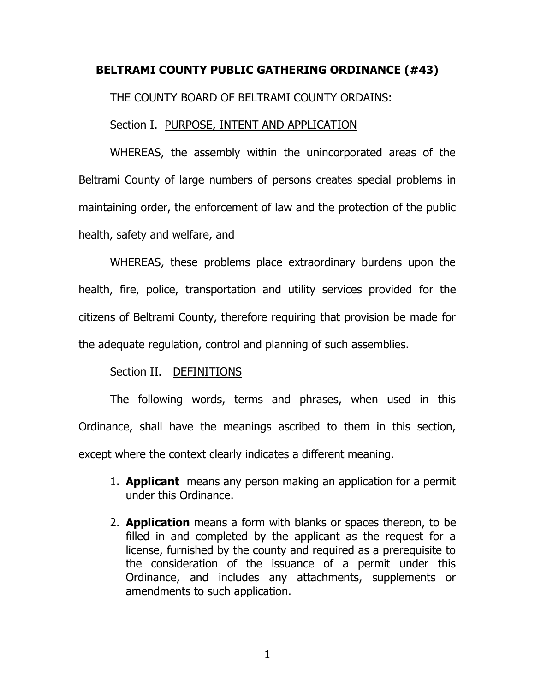# **BELTRAMI COUNTY PUBLIC GATHERING ORDINANCE (#43)**

THE COUNTY BOARD OF BELTRAMI COUNTY ORDAINS:

## Section I. PURPOSE, INTENT AND APPLICATION

WHEREAS, the assembly within the unincorporated areas of the Beltrami County of large numbers of persons creates special problems in maintaining order, the enforcement of law and the protection of the public health, safety and welfare, and

WHEREAS, these problems place extraordinary burdens upon the health, fire, police, transportation and utility services provided for the citizens of Beltrami County, therefore requiring that provision be made for the adequate regulation, control and planning of such assemblies.

## Section II. DEFINITIONS

The following words, terms and phrases, when used in this Ordinance, shall have the meanings ascribed to them in this section, except where the context clearly indicates a different meaning.

- 1. **Applicant** means any person making an application for a permit under this Ordinance.
- 2. **Application** means a form with blanks or spaces thereon, to be filled in and completed by the applicant as the request for a license, furnished by the county and required as a prerequisite to the consideration of the issuance of a permit under this Ordinance, and includes any attachments, supplements or amendments to such application.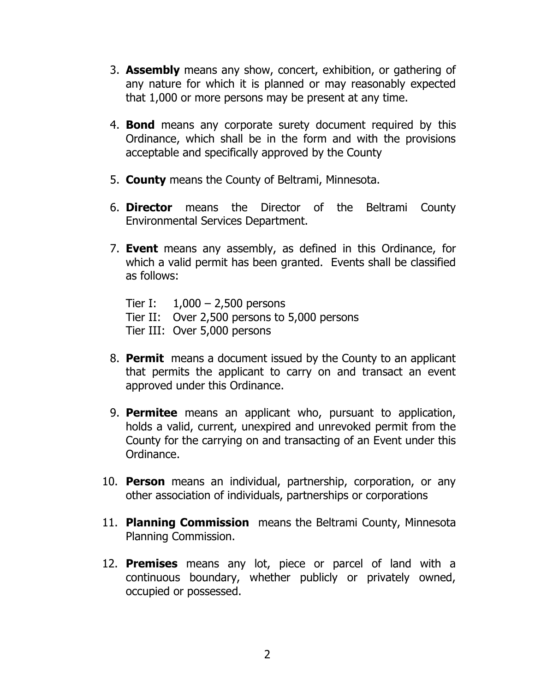- 3. **Assembly** means any show, concert, exhibition, or gathering of any nature for which it is planned or may reasonably expected that 1,000 or more persons may be present at any time.
- 4. **Bond** means any corporate surety document required by this Ordinance, which shall be in the form and with the provisions acceptable and specifically approved by the County
- 5. **County** means the County of Beltrami, Minnesota.
- 6. **Director** means the Director of the Beltrami County Environmental Services Department.
- 7. **Event** means any assembly, as defined in this Ordinance, for which a valid permit has been granted. Events shall be classified as follows:

Tier I:  $1,000 - 2,500$  persons Tier II: Over 2,500 persons to 5,000 persons Tier III: Over 5,000 persons

- 8. **Permit** means a document issued by the County to an applicant that permits the applicant to carry on and transact an event approved under this Ordinance.
- 9. **Permitee** means an applicant who, pursuant to application, holds a valid, current, unexpired and unrevoked permit from the County for the carrying on and transacting of an Event under this Ordinance.
- 10. **Person** means an individual, partnership, corporation, or any other association of individuals, partnerships or corporations
- 11. **Planning Commission** means the Beltrami County, Minnesota Planning Commission.
- 12. **Premises** means any lot, piece or parcel of land with a continuous boundary, whether publicly or privately owned, occupied or possessed.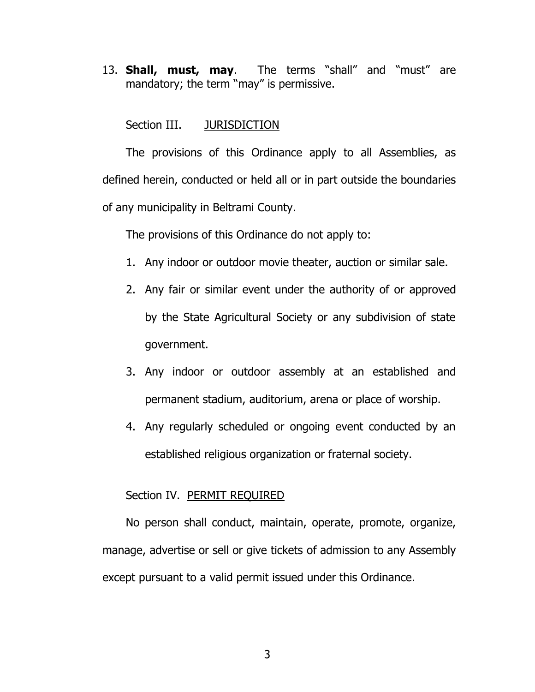13. **Shall, must, may**. The terms "shall" and "must" are mandatory; the term "may" is permissive.

Section III. JURISDICTION

The provisions of this Ordinance apply to all Assemblies, as defined herein, conducted or held all or in part outside the boundaries of any municipality in Beltrami County.

The provisions of this Ordinance do not apply to:

- 1. Any indoor or outdoor movie theater, auction or similar sale.
- 2. Any fair or similar event under the authority of or approved by the State Agricultural Society or any subdivision of state government.
- 3. Any indoor or outdoor assembly at an established and permanent stadium, auditorium, arena or place of worship.
- 4. Any regularly scheduled or ongoing event conducted by an established religious organization or fraternal society.

## Section IV. PERMIT REQUIRED

No person shall conduct, maintain, operate, promote, organize, manage, advertise or sell or give tickets of admission to any Assembly except pursuant to a valid permit issued under this Ordinance.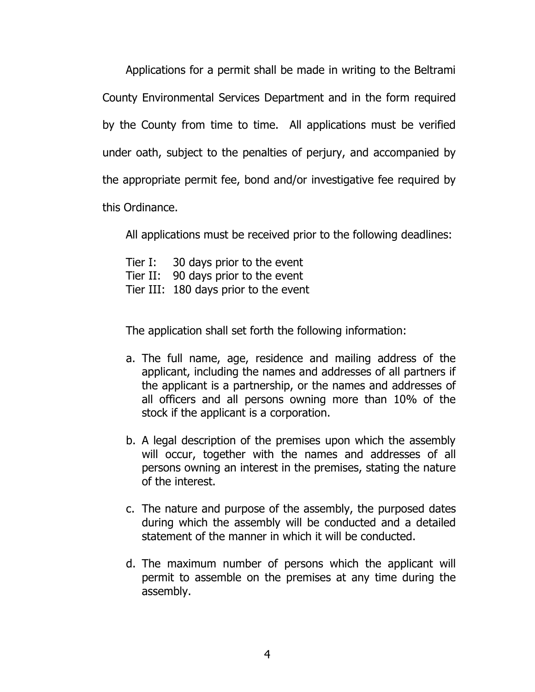Applications for a permit shall be made in writing to the Beltrami County Environmental Services Department and in the form required by the County from time to time. All applications must be verified under oath, subject to the penalties of perjury, and accompanied by the appropriate permit fee, bond and/or investigative fee required by this Ordinance.

All applications must be received prior to the following deadlines:

Tier I: 30 days prior to the event Tier II: 90 days prior to the event Tier III: 180 days prior to the event

The application shall set forth the following information:

- a. The full name, age, residence and mailing address of the applicant, including the names and addresses of all partners if the applicant is a partnership, or the names and addresses of all officers and all persons owning more than 10% of the stock if the applicant is a corporation.
- b. A legal description of the premises upon which the assembly will occur, together with the names and addresses of all persons owning an interest in the premises, stating the nature of the interest.
- c. The nature and purpose of the assembly, the purposed dates during which the assembly will be conducted and a detailed statement of the manner in which it will be conducted.
- d. The maximum number of persons which the applicant will permit to assemble on the premises at any time during the assembly.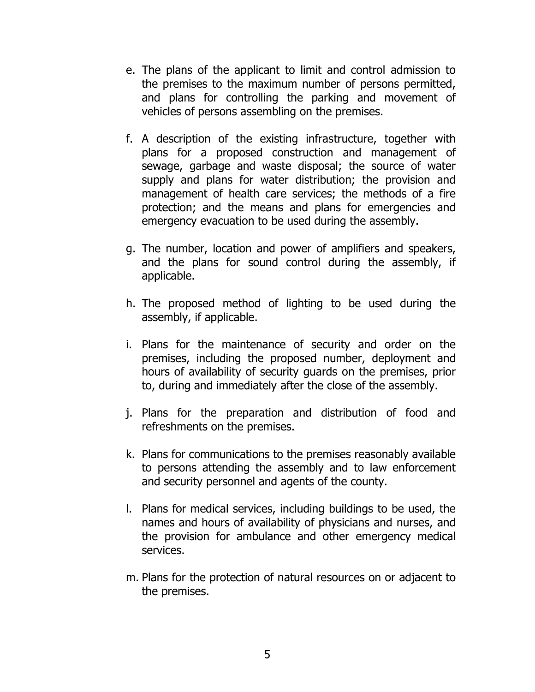- e. The plans of the applicant to limit and control admission to the premises to the maximum number of persons permitted, and plans for controlling the parking and movement of vehicles of persons assembling on the premises.
- f. A description of the existing infrastructure, together with plans for a proposed construction and management of sewage, garbage and waste disposal; the source of water supply and plans for water distribution; the provision and management of health care services; the methods of a fire protection; and the means and plans for emergencies and emergency evacuation to be used during the assembly.
- g. The number, location and power of amplifiers and speakers, and the plans for sound control during the assembly, if applicable.
- h. The proposed method of lighting to be used during the assembly, if applicable.
- i. Plans for the maintenance of security and order on the premises, including the proposed number, deployment and hours of availability of security guards on the premises, prior to, during and immediately after the close of the assembly.
- j. Plans for the preparation and distribution of food and refreshments on the premises.
- k. Plans for communications to the premises reasonably available to persons attending the assembly and to law enforcement and security personnel and agents of the county.
- l. Plans for medical services, including buildings to be used, the names and hours of availability of physicians and nurses, and the provision for ambulance and other emergency medical services.
- m. Plans for the protection of natural resources on or adjacent to the premises.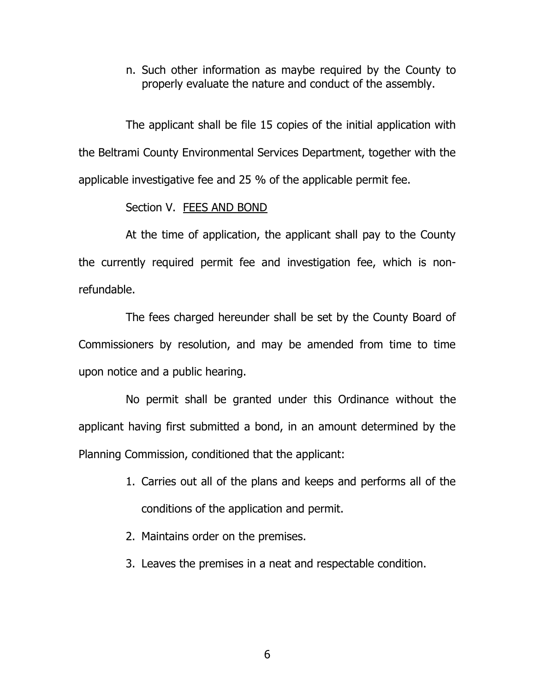n. Such other information as maybe required by the County to properly evaluate the nature and conduct of the assembly.

The applicant shall be file 15 copies of the initial application with the Beltrami County Environmental Services Department, together with the applicable investigative fee and 25 % of the applicable permit fee.

### Section V. FEES AND BOND

At the time of application, the applicant shall pay to the County the currently required permit fee and investigation fee, which is nonrefundable.

The fees charged hereunder shall be set by the County Board of Commissioners by resolution, and may be amended from time to time upon notice and a public hearing.

No permit shall be granted under this Ordinance without the applicant having first submitted a bond, in an amount determined by the Planning Commission, conditioned that the applicant:

- 1. Carries out all of the plans and keeps and performs all of the conditions of the application and permit.
- 2. Maintains order on the premises.
- 3. Leaves the premises in a neat and respectable condition.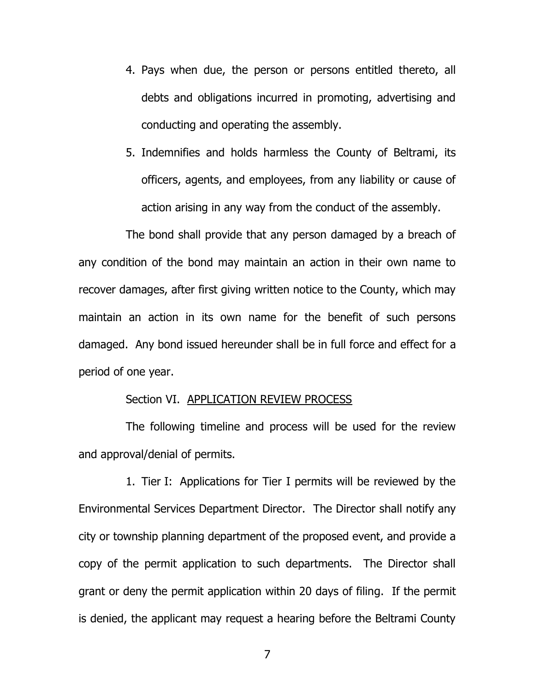- 4. Pays when due, the person or persons entitled thereto, all debts and obligations incurred in promoting, advertising and conducting and operating the assembly.
- 5. Indemnifies and holds harmless the County of Beltrami, its officers, agents, and employees, from any liability or cause of action arising in any way from the conduct of the assembly.

The bond shall provide that any person damaged by a breach of any condition of the bond may maintain an action in their own name to recover damages, after first giving written notice to the County, which may maintain an action in its own name for the benefit of such persons damaged. Any bond issued hereunder shall be in full force and effect for a period of one year.

### Section VI. APPLICATION REVIEW PROCESS

The following timeline and process will be used for the review and approval/denial of permits.

1. Tier I: Applications for Tier I permits will be reviewed by the Environmental Services Department Director. The Director shall notify any city or township planning department of the proposed event, and provide a copy of the permit application to such departments. The Director shall grant or deny the permit application within 20 days of filing. If the permit is denied, the applicant may request a hearing before the Beltrami County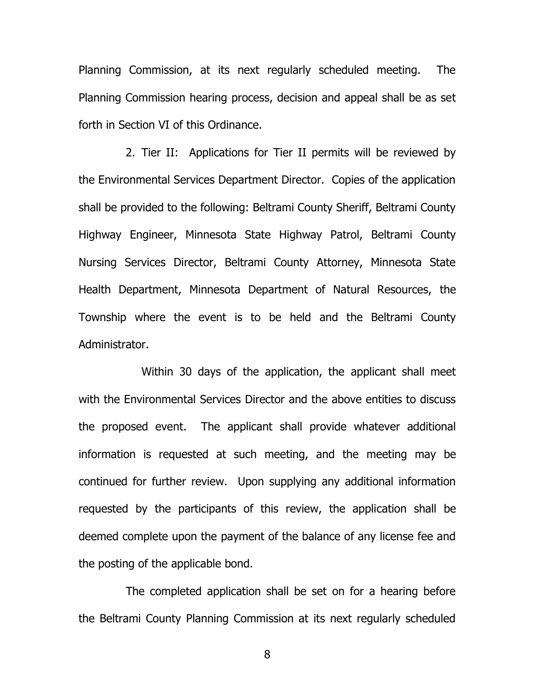Planning Commission, at its next regularly scheduled meeting. The Planning Commission hearing process, decision and appeal shall be as set forth in Section VI of this Ordinance.

2. Tier II: Applications for Tier II permits will be reviewed by the Environmental Services Department Director. Copies of the application shall be provided to the following: Beltrami County Sheriff, Beltrami County Highway Engineer, Minnesota State Highway Patrol, Beltrami County Nursing Services Director, Beltrami County Attorney, Minnesota State Health Department, Minnesota Department of Natural Resources, the Township where the event is to be held and the Beltrami County Administrator.

Within 30 days of the application, the applicant shall meet with the Environmental Services Director and the above entities to discuss the proposed event. The applicant shall provide whatever additional information is requested at such meeting, and the meeting may be continued for further review. Upon supplying any additional information requested by the participants of this review, the application shall be deemed complete upon the payment of the balance of any license fee and the posting of the applicable bond.

The completed application shall be set on for a hearing before the Beltrami County Planning Commission at its next regularly scheduled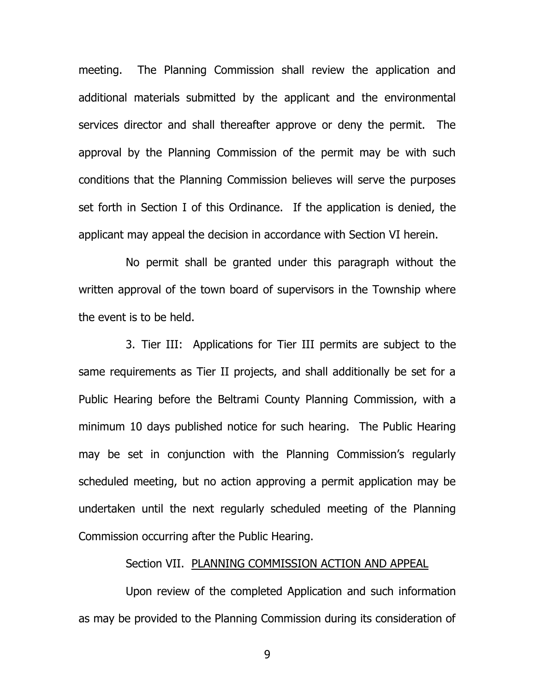meeting. The Planning Commission shall review the application and additional materials submitted by the applicant and the environmental services director and shall thereafter approve or deny the permit. The approval by the Planning Commission of the permit may be with such conditions that the Planning Commission believes will serve the purposes set forth in Section I of this Ordinance. If the application is denied, the applicant may appeal the decision in accordance with Section VI herein.

No permit shall be granted under this paragraph without the written approval of the town board of supervisors in the Township where the event is to be held.

3. Tier III: Applications for Tier III permits are subject to the same requirements as Tier II projects, and shall additionally be set for a Public Hearing before the Beltrami County Planning Commission, with a minimum 10 days published notice for such hearing. The Public Hearing may be set in conjunction with the Planning Commission's regularly scheduled meeting, but no action approving a permit application may be undertaken until the next regularly scheduled meeting of the Planning Commission occurring after the Public Hearing.

## Section VII. PLANNING COMMISSION ACTION AND APPEAL

Upon review of the completed Application and such information as may be provided to the Planning Commission during its consideration of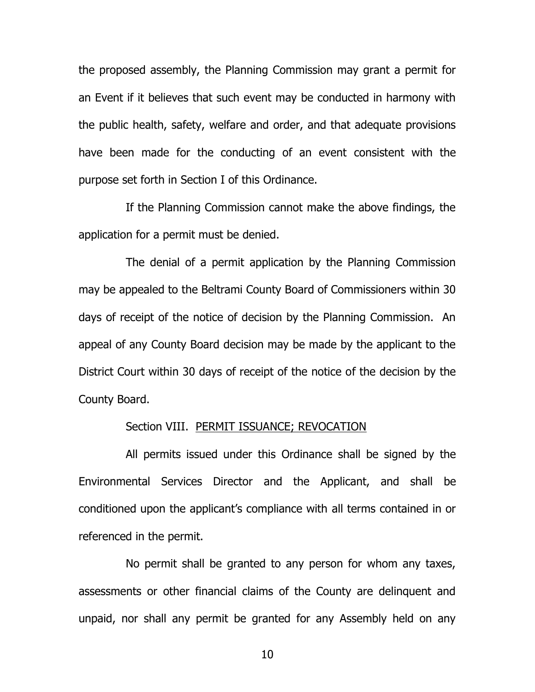the proposed assembly, the Planning Commission may grant a permit for an Event if it believes that such event may be conducted in harmony with the public health, safety, welfare and order, and that adequate provisions have been made for the conducting of an event consistent with the purpose set forth in Section I of this Ordinance.

If the Planning Commission cannot make the above findings, the application for a permit must be denied.

The denial of a permit application by the Planning Commission may be appealed to the Beltrami County Board of Commissioners within 30 days of receipt of the notice of decision by the Planning Commission. An appeal of any County Board decision may be made by the applicant to the District Court within 30 days of receipt of the notice of the decision by the County Board.

#### Section VIII. PERMIT ISSUANCE; REVOCATION

All permits issued under this Ordinance shall be signed by the Environmental Services Director and the Applicant, and shall be conditioned upon the applicant's compliance with all terms contained in or referenced in the permit.

No permit shall be granted to any person for whom any taxes, assessments or other financial claims of the County are delinquent and unpaid, nor shall any permit be granted for any Assembly held on any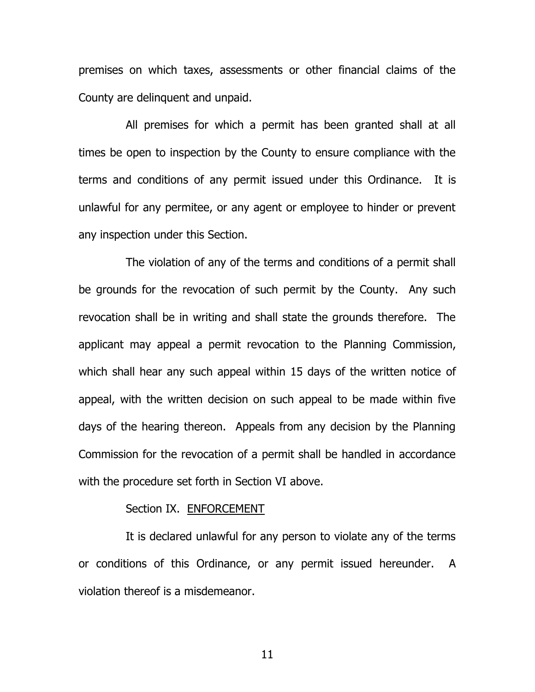premises on which taxes, assessments or other financial claims of the County are delinquent and unpaid.

All premises for which a permit has been granted shall at all times be open to inspection by the County to ensure compliance with the terms and conditions of any permit issued under this Ordinance. It is unlawful for any permitee, or any agent or employee to hinder or prevent any inspection under this Section.

The violation of any of the terms and conditions of a permit shall be grounds for the revocation of such permit by the County. Any such revocation shall be in writing and shall state the grounds therefore. The applicant may appeal a permit revocation to the Planning Commission, which shall hear any such appeal within 15 days of the written notice of appeal, with the written decision on such appeal to be made within five days of the hearing thereon. Appeals from any decision by the Planning Commission for the revocation of a permit shall be handled in accordance with the procedure set forth in Section VI above.

#### Section IX. ENFORCEMENT

It is declared unlawful for any person to violate any of the terms or conditions of this Ordinance, or any permit issued hereunder. A violation thereof is a misdemeanor.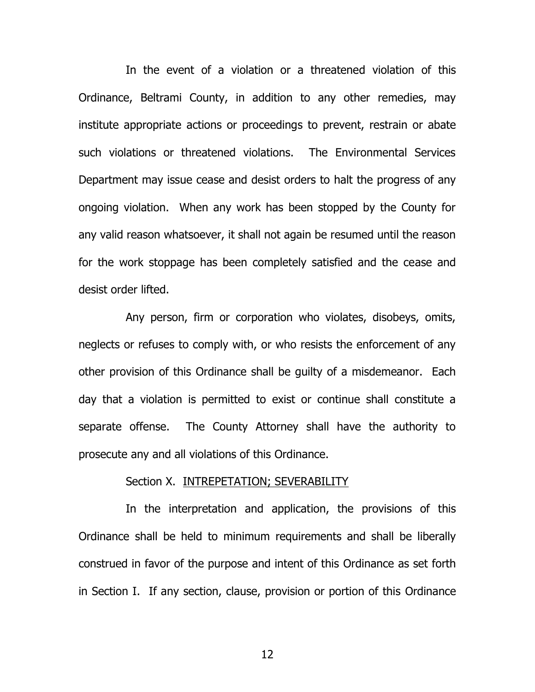In the event of a violation or a threatened violation of this Ordinance, Beltrami County, in addition to any other remedies, may institute appropriate actions or proceedings to prevent, restrain or abate such violations or threatened violations. The Environmental Services Department may issue cease and desist orders to halt the progress of any ongoing violation. When any work has been stopped by the County for any valid reason whatsoever, it shall not again be resumed until the reason for the work stoppage has been completely satisfied and the cease and desist order lifted.

Any person, firm or corporation who violates, disobeys, omits, neglects or refuses to comply with, or who resists the enforcement of any other provision of this Ordinance shall be guilty of a misdemeanor. Each day that a violation is permitted to exist or continue shall constitute a separate offense. The County Attorney shall have the authority to prosecute any and all violations of this Ordinance.

#### Section X. INTREPETATION; SEVERABILITY

In the interpretation and application, the provisions of this Ordinance shall be held to minimum requirements and shall be liberally construed in favor of the purpose and intent of this Ordinance as set forth in Section I. If any section, clause, provision or portion of this Ordinance